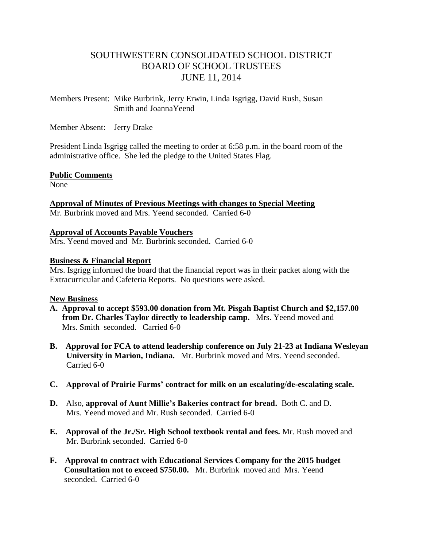# SOUTHWESTERN CONSOLIDATED SCHOOL DISTRICT BOARD OF SCHOOL TRUSTEES JUNE 11, 2014

Members Present: Mike Burbrink, Jerry Erwin, Linda Isgrigg, David Rush, Susan Smith and JoannaYeend

Member Absent: Jerry Drake

President Linda Isgrigg called the meeting to order at 6:58 p.m. in the board room of the administrative office. She led the pledge to the United States Flag.

## **Public Comments**

None

**Approval of Minutes of Previous Meetings with changes to Special Meeting**  Mr. Burbrink moved and Mrs. Yeend seconded. Carried 6-0

**Approval of Accounts Payable Vouchers** Mrs. Yeend moved and Mr. Burbrink seconded. Carried 6-0

# **Business & Financial Report**

Mrs. Isgrigg informed the board that the financial report was in their packet along with the Extracurricular and Cafeteria Reports. No questions were asked.

## **New Business**

- **A. Approval to accept \$593.00 donation from Mt. Pisgah Baptist Church and \$2,157.00 from Dr. Charles Taylor directly to leadership camp.** Mrs. Yeend moved and Mrs. Smith seconded. Carried 6-0
- **B. Approval for FCA to attend leadership conference on July 21-23 at Indiana Wesleyan University in Marion, Indiana.** Mr. Burbrink moved and Mrs. Yeend seconded. Carried 6-0
- **C. Approval of Prairie Farms' contract for milk on an escalating/de-escalating scale.**
- **D.** Also, **approval of Aunt Millie's Bakeries contract for bread.** Both C. and D. Mrs. Yeend moved and Mr. Rush seconded. Carried 6-0
- **E. Approval of the Jr./Sr. High School textbook rental and fees.** Mr. Rush moved and Mr. Burbrink seconded. Carried 6-0
- **F. Approval to contract with Educational Services Company for the 2015 budget Consultation not to exceed \$750.00.** Mr. Burbrinkmoved and Mrs. Yeend seconded. Carried 6-0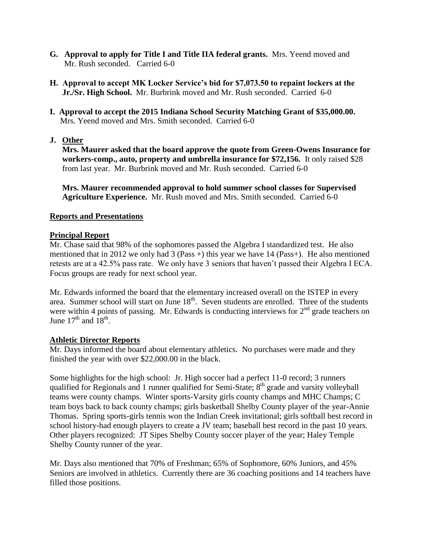- **G. Approval to apply for Title I and Title IIA federal grants.** Mrs. Yeend moved and Mr. Rush seconded. Carried 6-0
- **H. Approval to accept MK Locker Service's bid for \$7,073.50 to repaint lockers at the Jr./Sr. High School.** Mr. Burbrink moved and Mr. Rush seconded. Carried 6-0
- **I. Approval to accept the 2015 Indiana School Security Matching Grant of \$35,000.00.** Mrs. Yeend moved and Mrs. Smith seconded. Carried 6-0

## **J. Other**

 **Mrs. Maurer asked that the board approve the quote from Green-Owens Insurance for workers-comp., auto, property and umbrella insurance for \$72,156.** It only raised \$28 from last year.Mr. Burbrink moved and Mr. Rush seconded. Carried 6-0

 **Mrs. Maurer recommended approval to hold summer school classes for Supervised Agriculture Experience.** Mr. Rush moved and Mrs. Smith seconded. Carried 6-0

## **Reports and Presentations**

## **Principal Report**

Mr. Chase said that 98% of the sophomores passed the Algebra I standardized test. He also mentioned that in 2012 we only had 3 (Pass +) this year we have 14 (Pass+). He also mentioned retests are at a 42.5% pass rate. We only have 3 seniors that haven't passed their Algebra I ECA. Focus groups are ready for next school year.

Mr. Edwards informed the board that the elementary increased overall on the ISTEP in every area. Summer school will start on June 18<sup>th</sup>. Seven students are enrolled. Three of the students were within 4 points of passing. Mr. Edwards is conducting interviews for  $2<sup>nd</sup>$  grade teachers on June  $17^{\text{th}}$  and  $18^{\text{th}}$ .

## **Athletic Director Reports**

Mr. Days informed the board about elementary athletics. No purchases were made and they finished the year with over \$22,000.00 in the black.

Some highlights for the high school: Jr. High soccer had a perfect 11-0 record; 3 runners qualified for Regionals and 1 runner qualified for Semi-State;  $8<sup>th</sup>$  grade and varsity volleyball teams were county champs. Winter sports-Varsity girls county champs and MHC Champs; C team boys back to back county champs; girls basketball Shelby County player of the year-Annie Thomas. Spring sports-girls tennis won the Indian Creek invitational; girls softball best record in school history-had enough players to create a JV team; baseball best record in the past 10 years. Other players recognized: JT Sipes Shelby County soccer player of the year; Haley Temple Shelby County runner of the year.

Mr. Days also mentioned that 70% of Freshman; 65% of Sophomore, 60% Juniors, and 45% Seniors are involved in athletics. Currently there are 36 coaching positions and 14 teachers have filled those positions.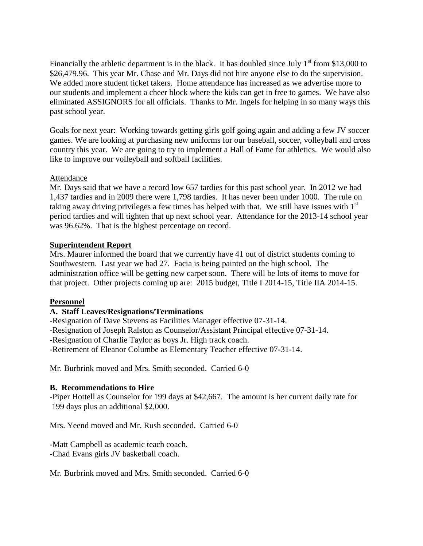Financially the athletic department is in the black. It has doubled since July  $1<sup>st</sup>$  from \$13,000 to \$26,479.96. This year Mr. Chase and Mr. Days did not hire anyone else to do the supervision. We added more student ticket takers. Home attendance has increased as we advertise more to our students and implement a cheer block where the kids can get in free to games. We have also eliminated ASSIGNORS for all officials. Thanks to Mr. Ingels for helping in so many ways this past school year.

Goals for next year: Working towards getting girls golf going again and adding a few JV soccer games. We are looking at purchasing new uniforms for our baseball, soccer, volleyball and cross country this year. We are going to try to implement a Hall of Fame for athletics. We would also like to improve our volleyball and softball facilities.

## Attendance

Mr. Days said that we have a record low 657 tardies for this past school year. In 2012 we had 1,437 tardies and in 2009 there were 1,798 tardies. It has never been under 1000. The rule on taking away driving privileges a few times has helped with that. We still have issues with  $1<sup>st</sup>$ period tardies and will tighten that up next school year. Attendance for the 2013-14 school year was 96.62%. That is the highest percentage on record.

## **Superintendent Report**

Mrs. Maurer informed the board that we currently have 41 out of district students coming to Southwestern. Last year we had 27. Facia is being painted on the high school. The administration office will be getting new carpet soon. There will be lots of items to move for that project. Other projects coming up are: 2015 budget, Title I 2014-15, Title IIA 2014-15.

## **Personnel**

# **A. Staff Leaves/Resignations/Terminations**

-Resignation of Dave Stevens as Facilities Manager effective 07-31-14.

-Resignation of Joseph Ralston as Counselor/Assistant Principal effective 07-31-14.

-Resignation of Charlie Taylor as boys Jr. High track coach.

-Retirement of Eleanor Columbe as Elementary Teacher effective 07-31-14.

Mr. Burbrink moved and Mrs. Smith seconded. Carried 6-0

## **B. Recommendations to Hire**

-Piper Hottell as Counselor for 199 days at \$42,667. The amount is her current daily rate for 199 days plus an additional \$2,000.

Mrs. Yeend moved and Mr. Rush seconded. Carried 6-0

-Matt Campbell as academic teach coach. -Chad Evans girls JV basketball coach.

Mr. Burbrink moved and Mrs. Smith seconded. Carried 6-0